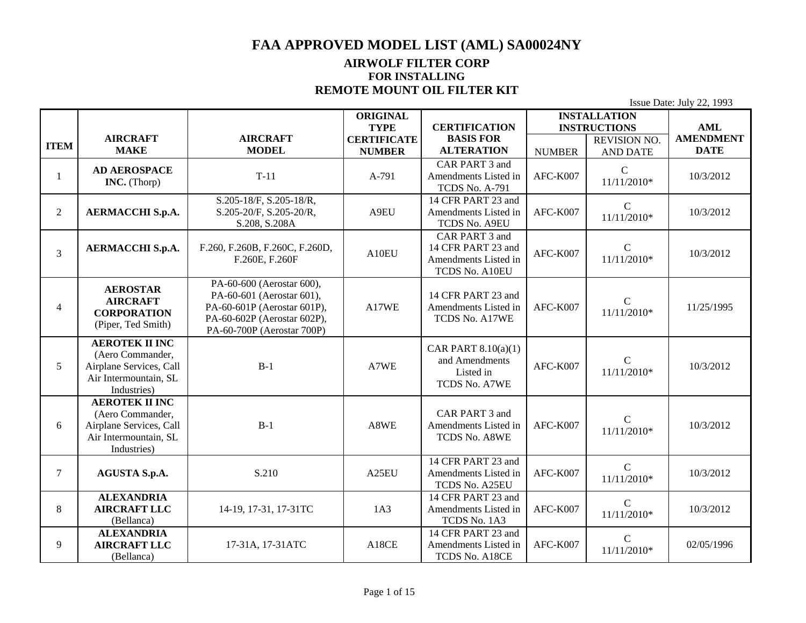### **AIRWOLF FILTER CORP FOR INSTALLING REMOTE MOUNT OIL FILTER KIT**

|                |                                                                                                              |                                                                                                                                                    | <b>ORIGINAL</b><br><b>TYPE</b> | <b>CERTIFICATION</b>                                                           |               | <b>INSTALLATION</b><br><b>INSTRUCTIONS</b> | <b>AML</b>       |
|----------------|--------------------------------------------------------------------------------------------------------------|----------------------------------------------------------------------------------------------------------------------------------------------------|--------------------------------|--------------------------------------------------------------------------------|---------------|--------------------------------------------|------------------|
|                | <b>AIRCRAFT</b>                                                                                              | <b>AIRCRAFT</b>                                                                                                                                    | <b>CERTIFICATE</b>             | <b>BASIS FOR</b>                                                               |               | <b>REVISION NO.</b>                        | <b>AMENDMENT</b> |
| <b>ITEM</b>    | <b>MAKE</b>                                                                                                  | <b>MODEL</b>                                                                                                                                       | <b>NUMBER</b>                  | <b>ALTERATION</b>                                                              | <b>NUMBER</b> | <b>AND DATE</b>                            | <b>DATE</b>      |
| 1              | <b>AD AEROSPACE</b><br>INC. (Thorp)                                                                          | $T-11$                                                                                                                                             | A-791                          | CAR PART 3 and<br>Amendments Listed in<br>TCDS No. A-791                       | AFC-K007      | $\mathcal{C}$<br>$11/11/2010*$             | 10/3/2012        |
| $\overline{2}$ | <b>AERMACCHI S.p.A.</b>                                                                                      | S.205-18/F, S.205-18/R,<br>S.205-20/F, S.205-20/R,<br>S.208, S.208A                                                                                | A9EU                           | 14 CFR PART 23 and<br>Amendments Listed in<br>TCDS No. A9EU                    | AFC-K007      | $\mathsf C$<br>$11/11/2010*$               | 10/3/2012        |
| 3              | <b>AERMACCHI S.p.A.</b>                                                                                      | F.260, F.260B, F.260C, F.260D,<br>F.260E, F.260F                                                                                                   | A10EU                          | CAR PART 3 and<br>14 CFR PART 23 and<br>Amendments Listed in<br>TCDS No. A10EU | AFC-K007      | $\mathbf C$<br>$11/11/2010*$               | 10/3/2012        |
| 4              | <b>AEROSTAR</b><br><b>AIRCRAFT</b><br><b>CORPORATION</b><br>(Piper, Ted Smith)                               | PA-60-600 (Aerostar 600),<br>PA-60-601 (Aerostar 601),<br>PA-60-601P (Aerostar 601P),<br>PA-60-602P (Aerostar 602P),<br>PA-60-700P (Aerostar 700P) | A17WE                          | 14 CFR PART 23 and<br>Amendments Listed in<br>TCDS No. A17WE                   | AFC-K007      | $\mathcal{C}$<br>$11/11/2010*$             | 11/25/1995       |
| 5              | <b>AEROTEK II INC</b><br>(Aero Commander,<br>Airplane Services, Call<br>Air Intermountain, SL<br>Industries) | $B-1$                                                                                                                                              | A7WE                           | CAR PART $8.10(a)(1)$<br>and Amendments<br>Listed in<br>TCDS No. A7WE          | AFC-K007      | $\mathcal{C}$<br>$11/11/2010*$             | 10/3/2012        |
| 6              | <b>AEROTEK II INC</b><br>(Aero Commander,<br>Airplane Services, Call<br>Air Intermountain, SL<br>Industries) | $B-1$                                                                                                                                              | A8WE                           | CAR PART 3 and<br>Amendments Listed in<br>TCDS No. A8WE                        | AFC-K007      | $\mathsf{C}$<br>$11/11/2010*$              | 10/3/2012        |
| 7              | <b>AGUSTA S.p.A.</b>                                                                                         | S.210                                                                                                                                              | A25EU                          | 14 CFR PART 23 and<br>Amendments Listed in<br>TCDS No. A25EU                   | AFC-K007      | $\mathcal{C}$<br>$11/11/2010*$             | 10/3/2012        |
| 8              | <b>ALEXANDRIA</b><br><b>AIRCRAFT LLC</b><br>(Bellanca)                                                       | 14-19, 17-31, 17-31TC                                                                                                                              | 1A3                            | 14 CFR PART 23 and<br>Amendments Listed in<br>TCDS No. 1A3                     | AFC-K007      | $\mathsf{C}$<br>$11/11/2010*$              | 10/3/2012        |
| 9              | <b>ALEXANDRIA</b><br><b>AIRCRAFT LLC</b><br>(Bellanca)                                                       | 17-31A, 17-31ATC                                                                                                                                   | A18CE                          | 14 CFR PART 23 and<br>Amendments Listed in<br>TCDS No. A18CE                   | AFC-K007      | $\mathsf C$<br>$11/11/2010*$               | 02/05/1996       |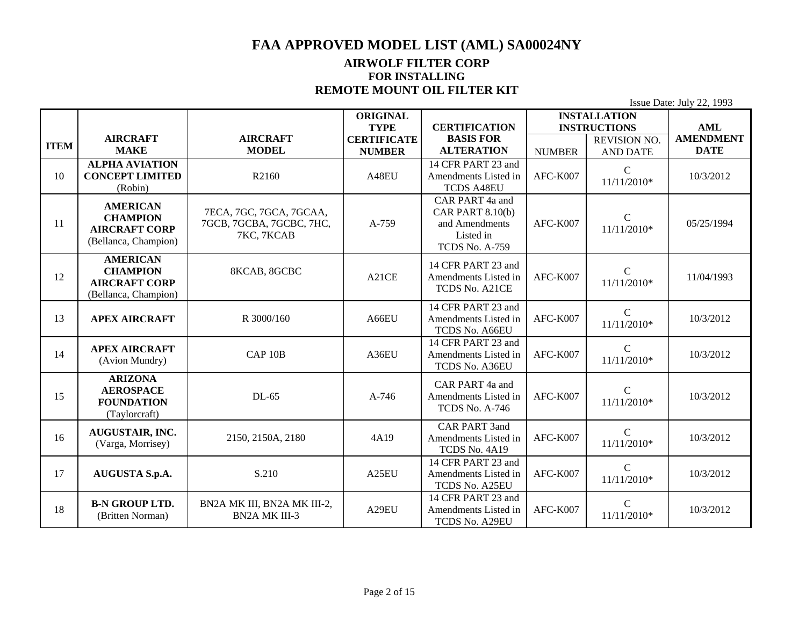#### **AIRWOLF FILTER CORP FOR INSTALLING REMOTE MOUNT OIL FILTER KIT**

|             |                                              |                                        | <b>ORIGINAL</b>    |                                            |               | <b>INSTALLATION</b> |                  |
|-------------|----------------------------------------------|----------------------------------------|--------------------|--------------------------------------------|---------------|---------------------|------------------|
|             |                                              |                                        | <b>TYPE</b>        | <b>CERTIFICATION</b>                       |               | <b>INSTRUCTIONS</b> | <b>AML</b>       |
| <b>ITEM</b> | <b>AIRCRAFT</b>                              | <b>AIRCRAFT</b>                        | <b>CERTIFICATE</b> | <b>BASIS FOR</b>                           |               | <b>REVISION NO.</b> | <b>AMENDMENT</b> |
|             | <b>MAKE</b>                                  | <b>MODEL</b>                           | <b>NUMBER</b>      | <b>ALTERATION</b>                          | <b>NUMBER</b> | <b>AND DATE</b>     | <b>DATE</b>      |
|             | <b>ALPHA AVIATION</b>                        |                                        |                    | 14 CFR PART 23 and                         |               | $\mathsf{C}$        |                  |
| 10          | <b>CONCEPT LIMITED</b>                       | R2160                                  | A48EU              | Amendments Listed in                       | AFC-K007      | 11/11/2010*         | 10/3/2012        |
|             | (Robin)                                      |                                        |                    | <b>TCDS A48EU</b>                          |               |                     |                  |
|             | <b>AMERICAN</b><br><b>CHAMPION</b>           | 7ECA, 7GC, 7GCA, 7GCAA,                |                    | CAR PART 4a and<br><b>CAR PART 8.10(b)</b> |               | $\mathcal{C}$       |                  |
| 11          | <b>AIRCRAFT CORP</b><br>(Bellanca, Champion) | 7GCB, 7GCBA, 7GCBC, 7HC,<br>7KC, 7KCAB | A-759              | and Amendments<br>Listed in                | AFC-K007      | 11/11/2010*         | 05/25/1994       |
|             |                                              |                                        |                    | TCDS No. A-759                             |               |                     |                  |
|             | <b>AMERICAN</b><br><b>CHAMPION</b>           | 8KCAB, 8GCBC                           |                    | 14 CFR PART 23 and                         |               | $\mathsf{C}$        |                  |
| 12          | <b>AIRCRAFT CORP</b>                         |                                        | A21CE              | Amendments Listed in<br>TCDS No. A21CE     | AFC-K007      | $11/11/2010*$       | 11/04/1993       |
|             | (Bellanca, Champion)                         |                                        |                    |                                            |               |                     |                  |
| 13          | <b>APEX AIRCRAFT</b>                         | R 3000/160                             | A66EU              | 14 CFR PART 23 and<br>Amendments Listed in | AFC-K007      | $\mathcal{C}$       | 10/3/2012        |
|             |                                              |                                        |                    | TCDS No. A66EU                             |               | $11/11/2010*$       |                  |
|             | <b>APEX AIRCRAFT</b>                         |                                        |                    | 14 CFR PART 23 and                         |               | $\mathbf C$         |                  |
| 14          | (Avion Mundry)                               | CAP <sub>10B</sub>                     | A36EU              | Amendments Listed in<br>TCDS No. A36EU     | AFC-K007      | 11/11/2010*         | 10/3/2012        |
|             | <b>ARIZONA</b>                               |                                        |                    | CAR PART 4a and                            |               |                     |                  |
| 15          | <b>AEROSPACE</b>                             | DL-65                                  | A-746              | Amendments Listed in                       | AFC-K007      | $\mathsf{C}$        | 10/3/2012        |
|             | <b>FOUNDATION</b>                            |                                        |                    | TCDS No. A-746                             |               | $11/11/2010*$       |                  |
|             | (Taylorcraft)                                |                                        |                    | <b>CAR PART 3and</b>                       |               |                     |                  |
| 16          | AUGUSTAIR, INC.                              | 2150, 2150A, 2180                      | 4A19               | Amendments Listed in                       | AFC-K007      | $\mathbf C$         | 10/3/2012        |
|             | (Varga, Morrisey)                            |                                        |                    | TCDS No. 4A19                              |               | $11/11/2010*$       |                  |
|             |                                              |                                        |                    | 14 CFR PART 23 and                         |               | $\mathsf{C}$        |                  |
| 17          | AUGUSTA S.p.A.                               | S.210                                  | A25EU              | Amendments Listed in                       | AFC-K007      | 11/11/2010*         | 10/3/2012        |
|             |                                              |                                        |                    | TCDS No. A25EU                             |               |                     |                  |
|             | <b>B-N GROUP LTD.</b>                        | BN2A MK III, BN2A MK III-2,            |                    | 14 CFR PART 23 and                         |               | $\mathcal{C}$       |                  |
| 18          | (Britten Norman)                             | <b>BN2A MK III-3</b>                   | A29EU              | Amendments Listed in                       | AFC-K007      | $11/11/2010*$       | 10/3/2012        |
|             |                                              |                                        |                    | TCDS No. A29EU                             |               |                     |                  |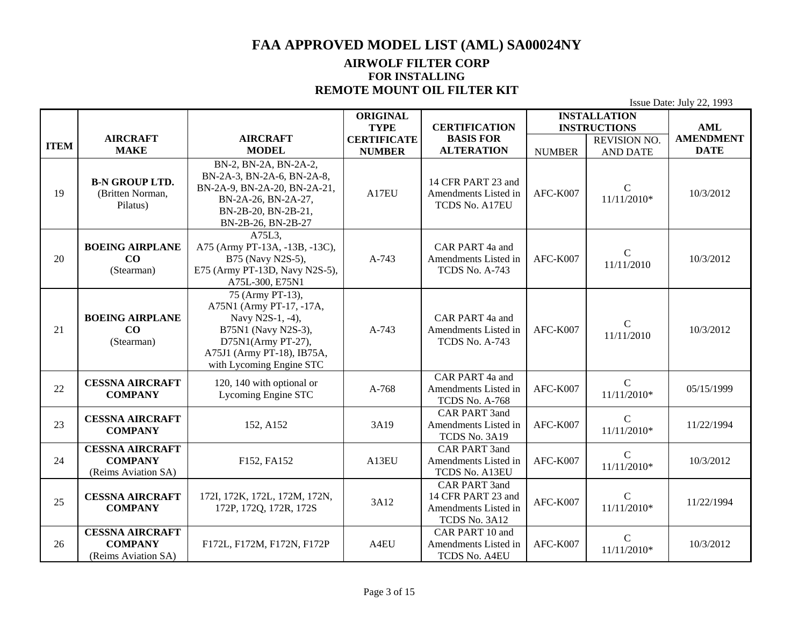### **AIRWOLF FILTER CORP FOR INSTALLING REMOTE MOUNT OIL FILTER KIT**

|             |                                                                 |                                                                                                                                                                         | <b>ORIGINAL</b><br><b>TYPE</b> | <b>CERTIFICATION</b>                                                                |               | <b>INSTALLATION</b><br><b>INSTRUCTIONS</b> | <b>AML</b>       |
|-------------|-----------------------------------------------------------------|-------------------------------------------------------------------------------------------------------------------------------------------------------------------------|--------------------------------|-------------------------------------------------------------------------------------|---------------|--------------------------------------------|------------------|
|             | <b>AIRCRAFT</b>                                                 | <b>AIRCRAFT</b>                                                                                                                                                         | <b>CERTIFICATE</b>             | <b>BASIS FOR</b>                                                                    |               | <b>REVISION NO.</b>                        | <b>AMENDMENT</b> |
| <b>ITEM</b> | <b>MAKE</b>                                                     | <b>MODEL</b>                                                                                                                                                            | <b>NUMBER</b>                  | <b>ALTERATION</b>                                                                   | <b>NUMBER</b> | <b>AND DATE</b>                            | <b>DATE</b>      |
| 19          | <b>B-N GROUP LTD.</b><br>(Britten Norman,<br>Pilatus)           | BN-2, BN-2A, BN-2A-2,<br>BN-2A-3, BN-2A-6, BN-2A-8,<br>BN-2A-9, BN-2A-20, BN-2A-21,<br>BN-2A-26, BN-2A-27,<br>BN-2B-20, BN-2B-21,<br>BN-2B-26, BN-2B-27                 | A17EU                          | 14 CFR PART 23 and<br>Amendments Listed in<br>TCDS No. A17EU                        | AFC-K007      | $\mathbf C$<br>11/11/2010*                 | 10/3/2012        |
| 20          | <b>BOEING AIRPLANE</b><br>CO<br>(Stearman)                      | A75L3,<br>A75 (Army PT-13A, -13B, -13C),<br>B75 (Navy N2S-5),<br>E75 (Army PT-13D, Navy N2S-5),<br>A75L-300, E75N1                                                      | A-743                          | CAR PART 4a and<br>Amendments Listed in<br><b>TCDS No. A-743</b>                    | AFC-K007      | $\mathsf{C}$<br>11/11/2010                 | 10/3/2012        |
| 21          | <b>BOEING AIRPLANE</b><br>CO<br>(Stearman)                      | 75 (Army PT-13),<br>A75N1 (Army PT-17, -17A,<br>Navy N2S-1, -4),<br>B75N1 (Navy N2S-3),<br>D75N1(Army PT-27),<br>A75J1 (Army PT-18), IB75A,<br>with Lycoming Engine STC | A-743                          | CAR PART 4a and<br>Amendments Listed in<br>TCDS No. A-743                           | AFC-K007      | $\mathcal{C}$<br>11/11/2010                | 10/3/2012        |
| 22          | <b>CESSNA AIRCRAFT</b><br><b>COMPANY</b>                        | 120, 140 with optional or<br>Lycoming Engine STC                                                                                                                        | A-768                          | CAR PART 4a and<br>Amendments Listed in<br>TCDS No. A-768                           | AFC-K007      | $\mathsf C$<br>$11/11/2010*$               | 05/15/1999       |
| 23          | <b>CESSNA AIRCRAFT</b><br><b>COMPANY</b>                        | 152, A152                                                                                                                                                               | 3A19                           | <b>CAR PART 3and</b><br>Amendments Listed in<br>TCDS No. 3A19                       | AFC-K007      | $\mathsf{C}$<br>11/11/2010*                | 11/22/1994       |
| 24          | <b>CESSNA AIRCRAFT</b><br><b>COMPANY</b><br>(Reims Aviation SA) | F152, FA152                                                                                                                                                             | A13EU                          | <b>CAR PART 3and</b><br>Amendments Listed in<br>TCDS No. A13EU                      | AFC-K007      | $\mathsf{C}$<br>11/11/2010*                | 10/3/2012        |
| 25          | <b>CESSNA AIRCRAFT</b><br><b>COMPANY</b>                        | 172I, 172K, 172L, 172M, 172N,<br>172P, 172Q, 172R, 172S                                                                                                                 | 3A12                           | <b>CAR PART 3and</b><br>14 CFR PART 23 and<br>Amendments Listed in<br>TCDS No. 3A12 | AFC-K007      | $\mathcal{C}$<br>$11/11/2010*$             | 11/22/1994       |
| 26          | <b>CESSNA AIRCRAFT</b><br><b>COMPANY</b><br>(Reims Aviation SA) | F172L, F172M, F172N, F172P                                                                                                                                              | A4EU                           | CAR PART 10 and<br>Amendments Listed in<br>TCDS No. A4EU                            | AFC-K007      | $\mathbf C$<br>11/11/2010*                 | 10/3/2012        |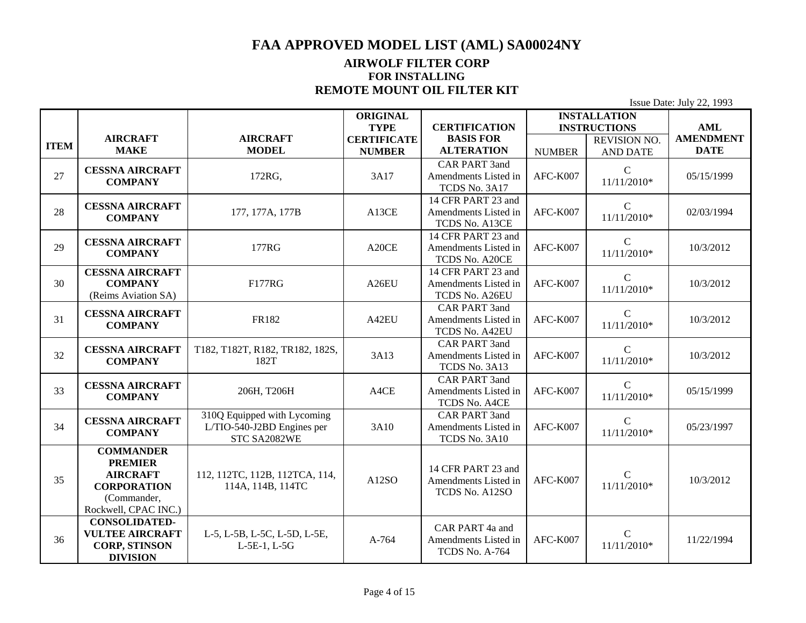### **AIRWOLF FILTER CORP FOR INSTALLING REMOTE MOUNT OIL FILTER KIT**

|             |                                          |                                                     | <b>ORIGINAL</b>                     |                                          |               | <b>INSTALLATION</b>            | <b>AML</b>       |
|-------------|------------------------------------------|-----------------------------------------------------|-------------------------------------|------------------------------------------|---------------|--------------------------------|------------------|
|             | <b>AIRCRAFT</b>                          | <b>AIRCRAFT</b>                                     | <b>TYPE</b>                         | <b>CERTIFICATION</b><br><b>BASIS FOR</b> |               | <b>INSTRUCTIONS</b>            | <b>AMENDMENT</b> |
| <b>ITEM</b> | <b>MAKE</b>                              | <b>MODEL</b>                                        | <b>CERTIFICATE</b><br><b>NUMBER</b> | <b>ALTERATION</b>                        |               | <b>REVISION NO.</b>            | <b>DATE</b>      |
|             |                                          |                                                     |                                     | <b>CAR PART 3and</b>                     | <b>NUMBER</b> | <b>AND DATE</b>                |                  |
| 27          | <b>CESSNA AIRCRAFT</b>                   | 172RG,                                              | 3A17                                | Amendments Listed in                     | AFC-K007      | $\mathcal{C}$                  | 05/15/1999       |
|             | <b>COMPANY</b>                           |                                                     |                                     | TCDS No. 3A17                            |               | 11/11/2010*                    |                  |
|             |                                          |                                                     |                                     | 14 CFR PART 23 and                       |               |                                |                  |
| 28          | <b>CESSNA AIRCRAFT</b>                   | 177, 177A, 177B                                     | A13CE                               | Amendments Listed in                     | AFC-K007      | $\mathcal{C}$                  | 02/03/1994       |
|             | <b>COMPANY</b>                           |                                                     |                                     | TCDS No. A13CE                           |               | $11/11/2010*$                  |                  |
|             |                                          |                                                     |                                     | 14 CFR PART 23 and                       |               |                                |                  |
| 29          | <b>CESSNA AIRCRAFT</b>                   | 177RG                                               | A20CE                               | Amendments Listed in                     | AFC-K007      | $\mathcal{C}$                  | 10/3/2012        |
|             | <b>COMPANY</b>                           |                                                     |                                     | TCDS No. A20CE                           |               | 11/11/2010*                    |                  |
|             | <b>CESSNA AIRCRAFT</b>                   |                                                     |                                     | 14 CFR PART 23 and                       |               |                                |                  |
| 30          | <b>COMPANY</b>                           | <b>F177RG</b>                                       | A26EU                               | Amendments Listed in                     | AFC-K007      | $\mathcal{C}$                  | 10/3/2012        |
|             | (Reims Aviation SA)                      |                                                     |                                     | TCDS No. A26EU                           |               | 11/11/2010*                    |                  |
|             |                                          |                                                     |                                     | <b>CAR PART 3and</b>                     |               |                                |                  |
| 31          | <b>CESSNA AIRCRAFT</b><br><b>COMPANY</b> | FR182                                               | A42EU                               | Amendments Listed in                     | AFC-K007      | $\mathcal{C}$<br>$11/11/2010*$ | 10/3/2012        |
|             |                                          |                                                     |                                     | TCDS No. A42EU                           |               |                                |                  |
|             | <b>CESSNA AIRCRAFT</b>                   | T182, T182T, R182, TR182, 182S,                     |                                     | <b>CAR PART 3and</b>                     |               | $\mathsf{C}$                   |                  |
| 32          | <b>COMPANY</b>                           | 182T                                                | 3A13                                | Amendments Listed in                     | AFC-K007      | 11/11/2010*                    | 10/3/2012        |
|             |                                          |                                                     |                                     | TCDS No. 3A13                            |               |                                |                  |
|             | <b>CESSNA AIRCRAFT</b>                   |                                                     |                                     | <b>CAR PART 3and</b>                     |               | $\mathcal{C}$                  |                  |
| 33          | <b>COMPANY</b>                           | 206Н, Т206Н                                         | A4CE                                | Amendments Listed in                     | AFC-K007      | 11/11/2010*                    | 05/15/1999       |
|             |                                          |                                                     |                                     | TCDS No. A4CE                            |               |                                |                  |
|             | <b>CESSNA AIRCRAFT</b>                   | 310Q Equipped with Lycoming                         |                                     | <b>CAR PART 3and</b>                     |               | $\mathcal{C}$                  |                  |
| 34          | <b>COMPANY</b>                           | L/TIO-540-J2BD Engines per                          | 3A10                                | Amendments Listed in                     | AFC-K007      | 11/11/2010*                    | 05/23/1997       |
|             |                                          | STC SA2082WE                                        |                                     | TCDS No. 3A10                            |               |                                |                  |
|             | <b>COMMANDER</b>                         |                                                     |                                     |                                          |               |                                |                  |
|             | <b>PREMIER</b>                           |                                                     |                                     | 14 CFR PART 23 and                       |               |                                |                  |
| 35          | <b>AIRCRAFT</b><br><b>CORPORATION</b>    | 112, 112TC, 112B, 112TCA, 114,<br>114A, 114B, 114TC | A12SO                               | Amendments Listed in                     | AFC-K007      | $\mathcal{C}$<br>$11/11/2010*$ | 10/3/2012        |
|             | (Commander,                              |                                                     |                                     | TCDS No. A12SO                           |               |                                |                  |
|             | Rockwell, CPAC INC.)                     |                                                     |                                     |                                          |               |                                |                  |
|             | <b>CONSOLIDATED-</b>                     |                                                     |                                     |                                          |               |                                |                  |
|             | <b>VULTEE AIRCRAFT</b>                   | L-5, L-5B, L-5C, L-5D, L-5E,                        |                                     | CAR PART 4a and                          |               | $\mathcal{C}$                  |                  |
| 36          | <b>CORP, STINSON</b>                     | L-5E-1, L-5G                                        | A-764                               | Amendments Listed in                     | AFC-K007      | $11/11/2010*$                  | 11/22/1994       |
|             | <b>DIVISION</b>                          |                                                     |                                     | TCDS No. A-764                           |               |                                |                  |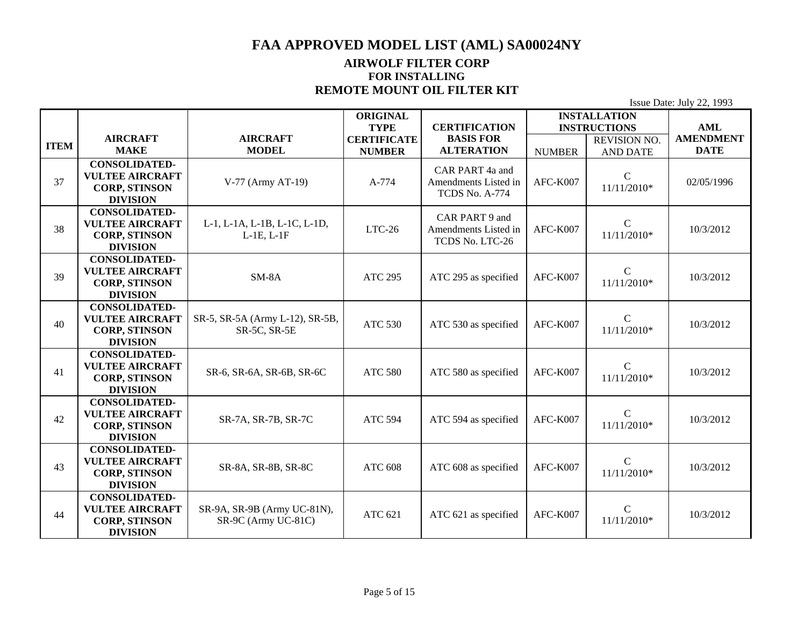#### **AIRWOLF FILTER CORP FOR INSTALLING REMOTE MOUNT OIL FILTER KIT**

|             |                                                                                           |                                                    | <b>ORIGINAL</b><br><b>TYPE</b>      | <b>CERTIFICATION</b>                                      |               | <b>INSTALLATION</b><br><b>INSTRUCTIONS</b> | <b>AML</b>                      |
|-------------|-------------------------------------------------------------------------------------------|----------------------------------------------------|-------------------------------------|-----------------------------------------------------------|---------------|--------------------------------------------|---------------------------------|
| <b>ITEM</b> | <b>AIRCRAFT</b><br><b>MAKE</b>                                                            | <b>AIRCRAFT</b><br><b>MODEL</b>                    | <b>CERTIFICATE</b><br><b>NUMBER</b> | <b>BASIS FOR</b><br><b>ALTERATION</b>                     | <b>NUMBER</b> | <b>REVISION NO.</b><br><b>AND DATE</b>     | <b>AMENDMENT</b><br><b>DATE</b> |
| 37          | <b>CONSOLIDATED-</b><br><b>VULTEE AIRCRAFT</b><br><b>CORP, STINSON</b><br><b>DIVISION</b> | $V-77$ (Army AT-19)                                | A-774                               | CAR PART 4a and<br>Amendments Listed in<br>TCDS No. A-774 | AFC-K007      | $\mathsf{C}$<br>$11/11/2010*$              | 02/05/1996                      |
| 38          | <b>CONSOLIDATED-</b><br><b>VULTEE AIRCRAFT</b><br><b>CORP, STINSON</b><br><b>DIVISION</b> | L-1, L-1A, L-1B, L-1C, L-1D,<br>$L-1E, L-1F$       | $LTC-26$                            | CAR PART 9 and<br>Amendments Listed in<br>TCDS No. LTC-26 | AFC-K007      | $\mathsf{C}$<br>$11/11/2010*$              | 10/3/2012                       |
| 39          | <b>CONSOLIDATED-</b><br><b>VULTEE AIRCRAFT</b><br><b>CORP, STINSON</b><br><b>DIVISION</b> | $SM-8A$                                            | <b>ATC 295</b>                      | ATC 295 as specified                                      | AFC-K007      | $\mathcal{C}$<br>$11/11/2010*$             | 10/3/2012                       |
| 40          | <b>CONSOLIDATED-</b><br><b>VULTEE AIRCRAFT</b><br><b>CORP, STINSON</b><br><b>DIVISION</b> | SR-5, SR-5A (Army L-12), SR-5B,<br>SR-5C, SR-5E    | <b>ATC 530</b>                      | ATC 530 as specified                                      | AFC-K007      | $\mathsf{C}$<br>$11/11/2010*$              | 10/3/2012                       |
| 41          | <b>CONSOLIDATED-</b><br><b>VULTEE AIRCRAFT</b><br><b>CORP, STINSON</b><br><b>DIVISION</b> | SR-6, SR-6A, SR-6B, SR-6C                          | <b>ATC 580</b>                      | ATC 580 as specified                                      | AFC-K007      | $\mathcal{C}$<br>$11/11/2010*$             | 10/3/2012                       |
| 42          | <b>CONSOLIDATED-</b><br><b>VULTEE AIRCRAFT</b><br><b>CORP, STINSON</b><br><b>DIVISION</b> | SR-7A, SR-7B, SR-7C                                | <b>ATC 594</b>                      | ATC 594 as specified                                      | AFC-K007      | $\mathcal{C}$<br>11/11/2010*               | 10/3/2012                       |
| 43          | <b>CONSOLIDATED-</b><br><b>VULTEE AIRCRAFT</b><br><b>CORP, STINSON</b><br><b>DIVISION</b> | SR-8A, SR-8B, SR-8C                                | <b>ATC 608</b>                      | ATC 608 as specified                                      | AFC-K007      | C<br>11/11/2010*                           | 10/3/2012                       |
| 44          | <b>CONSOLIDATED-</b><br><b>VULTEE AIRCRAFT</b><br><b>CORP, STINSON</b><br><b>DIVISION</b> | SR-9A, SR-9B (Army UC-81N),<br>SR-9C (Army UC-81C) | ATC 621                             | ATC 621 as specified                                      | AFC-K007      | $\mathcal{C}$<br>11/11/2010*               | 10/3/2012                       |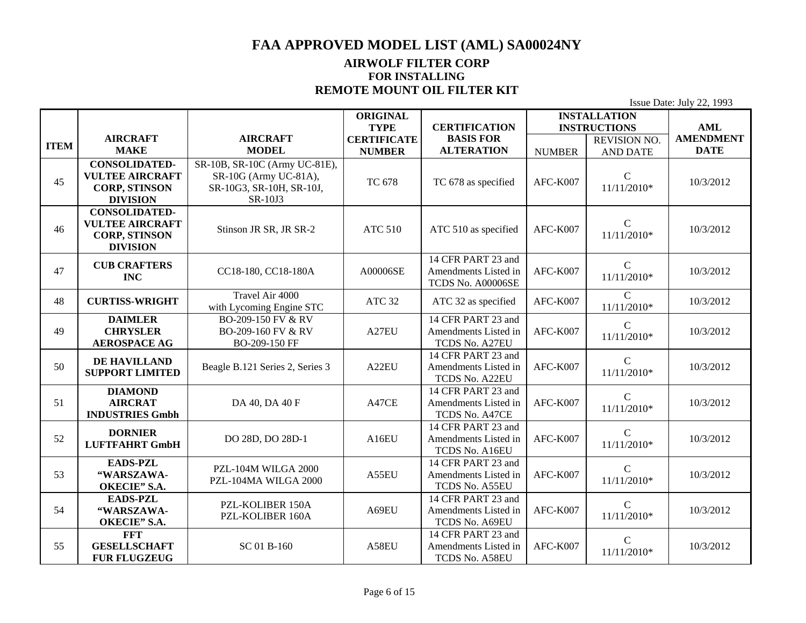#### **AIRWOLF FILTER CORP FOR INSTALLING REMOTE MOUNT OIL FILTER KIT**

|             |                                                                   |                                             | <b>ORIGINAL</b><br><b>TYPE</b> | <b>CERTIFICATION</b>                                            |               | <b>INSTALLATION</b><br><b>INSTRUCTIONS</b> | AML              |
|-------------|-------------------------------------------------------------------|---------------------------------------------|--------------------------------|-----------------------------------------------------------------|---------------|--------------------------------------------|------------------|
|             | <b>AIRCRAFT</b>                                                   | <b>AIRCRAFT</b>                             | <b>CERTIFICATE</b>             | <b>BASIS FOR</b>                                                |               | <b>REVISION NO.</b>                        | <b>AMENDMENT</b> |
| <b>ITEM</b> | <b>MAKE</b>                                                       | <b>MODEL</b>                                | <b>NUMBER</b>                  | <b>ALTERATION</b>                                               | <b>NUMBER</b> | <b>AND DATE</b>                            | <b>DATE</b>      |
|             | <b>CONSOLIDATED-</b>                                              | SR-10B, SR-10C (Army UC-81E),               |                                |                                                                 |               |                                            |                  |
| 45          | <b>VULTEE AIRCRAFT</b>                                            | SR-10G (Army UC-81A),                       | TC 678                         | TC 678 as specified                                             | AFC-K007      | $\mathsf{C}$                               | 10/3/2012        |
|             | <b>CORP, STINSON</b><br><b>DIVISION</b>                           | SR-10G3, SR-10H, SR-10J,<br>SR-10J3         |                                |                                                                 |               | 11/11/2010*                                |                  |
|             | <b>CONSOLIDATED-</b>                                              |                                             |                                |                                                                 |               |                                            |                  |
| 46          | <b>VULTEE AIRCRAFT</b><br><b>CORP, STINSON</b><br><b>DIVISION</b> | Stinson JR SR, JR SR-2                      | <b>ATC 510</b>                 | ATC 510 as specified                                            | AFC-K007      | $\mathbf C$<br>11/11/2010*                 | 10/3/2012        |
| 47          | <b>CUB CRAFTERS</b><br><b>INC</b>                                 | CC18-180, CC18-180A                         | A00006SE                       | 14 CFR PART 23 and<br>Amendments Listed in<br>TCDS No. A00006SE | AFC-K007      | $\mathsf{C}$<br>11/11/2010*                | 10/3/2012        |
| 48          | <b>CURTISS-WRIGHT</b>                                             | Travel Air 4000<br>with Lycoming Engine STC | ATC <sub>32</sub>              | ATC 32 as specified                                             | AFC-K007      | $\mathcal{C}$<br>$11/11/2010*$             | 10/3/2012        |
| 49          | <b>DAIMLER</b><br><b>CHRYSLER</b>                                 | BO-209-150 FV & RV<br>BO-209-160 FV & RV    | A27EU                          | 14 CFR PART 23 and<br>Amendments Listed in                      | AFC-K007      | $\mathcal{C}$                              | 10/3/2012        |
|             | <b>AEROSPACE AG</b>                                               | BO-209-150 FF                               |                                | TCDS No. A27EU                                                  |               | 11/11/2010*                                |                  |
| 50          | DE HAVILLAND<br><b>SUPPORT LIMITED</b>                            | Beagle B.121 Series 2, Series 3             | A22EU                          | 14 CFR PART 23 and<br>Amendments Listed in<br>TCDS No. A22EU    | AFC-K007      | $\mathcal{C}$<br>$11/11/2010*$             | 10/3/2012        |
| 51          | <b>DIAMOND</b><br><b>AIRCRAT</b><br><b>INDUSTRIES Gmbh</b>        | DA 40, DA 40 F                              | A47CE                          | 14 CFR PART 23 and<br>Amendments Listed in<br>TCDS No. A47CE    | AFC-K007      | $\mathbf C$<br>11/11/2010*                 | 10/3/2012        |
| 52          | <b>DORNIER</b><br><b>LUFTFAHRT GmbH</b>                           | DO 28D, DO 28D-1                            | A16EU                          | 14 CFR PART 23 and<br>Amendments Listed in<br>TCDS No. A16EU    | AFC-K007      | $\mathcal{C}$<br>$11/11/2010*$             | 10/3/2012        |
| 53          | <b>EADS-PZL</b><br>"WARSZAWA-<br>OKECIE" S.A.                     | PZL-104M WILGA 2000<br>PZL-104MA WILGA 2000 | A55EU                          | 14 CFR PART 23 and<br>Amendments Listed in<br>TCDS No. A55EU    | AFC-K007      | $\mathbf C$<br>$11/11/2010*$               | 10/3/2012        |
| 54          | <b>EADS-PZL</b><br>"WARSZAWA-<br>OKECIE" S.A.                     | PZL-KOLIBER 150A<br>PZL-KOLIBER 160A        | A69EU                          | 14 CFR PART 23 and<br>Amendments Listed in<br>TCDS No. A69EU    | AFC-K007      | $\mathcal{C}$<br>$11/11/2010*$             | 10/3/2012        |
| 55          | <b>FFT</b><br><b>GESELLSCHAFT</b><br><b>FUR FLUGZEUG</b>          | SC 01 B-160                                 | A58EU                          | 14 CFR PART 23 and<br>Amendments Listed in<br>TCDS No. A58EU    | AFC-K007      | $\mathsf C$<br>11/11/2010*                 | 10/3/2012        |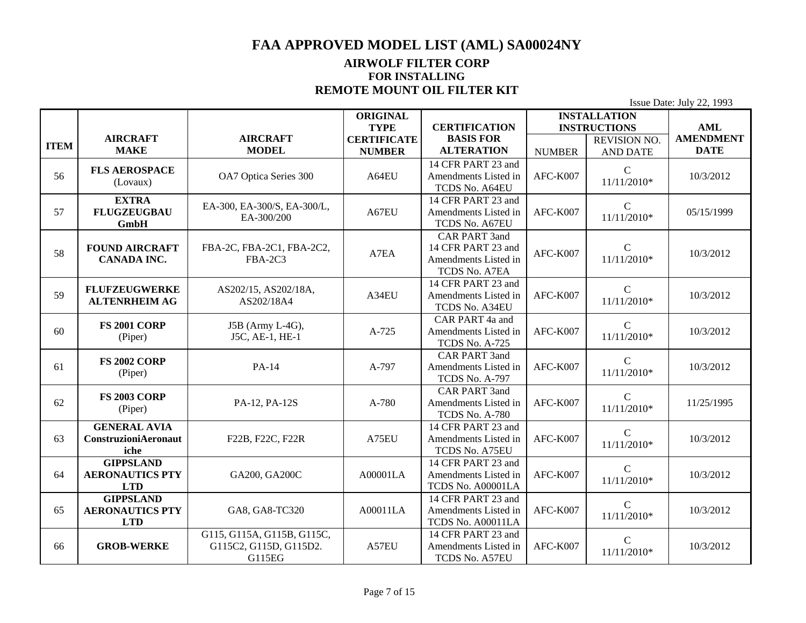#### **AIRWOLF FILTER CORP FOR INSTALLING REMOTE MOUNT OIL FILTER KIT**

|             |                             |                             | <b>ORIGINAL</b><br><b>TYPE</b> | <b>CERTIFICATION</b>                    |               | <b>INSTALLATION</b><br><b>INSTRUCTIONS</b> | <b>AML</b>       |
|-------------|-----------------------------|-----------------------------|--------------------------------|-----------------------------------------|---------------|--------------------------------------------|------------------|
|             | <b>AIRCRAFT</b>             | <b>AIRCRAFT</b>             | <b>CERTIFICATE</b>             | <b>BASIS FOR</b>                        |               | <b>REVISION NO.</b>                        | <b>AMENDMENT</b> |
| <b>ITEM</b> | <b>MAKE</b>                 | <b>MODEL</b>                | <b>NUMBER</b>                  | <b>ALTERATION</b>                       | <b>NUMBER</b> | <b>AND DATE</b>                            | <b>DATE</b>      |
|             |                             |                             |                                | 14 CFR PART 23 and                      |               |                                            |                  |
| 56          | <b>FLS AEROSPACE</b>        | OA7 Optica Series 300       | A64EU                          | Amendments Listed in                    | AFC-K007      | $\mathcal{C}$                              | 10/3/2012        |
|             | (Lovaux)                    |                             |                                | TCDS No. A64EU                          |               | $11/11/2010*$                              |                  |
|             | <b>EXTRA</b>                | EA-300, EA-300/S, EA-300/L, |                                | 14 CFR PART 23 and                      |               | $\mathbf C$                                |                  |
| 57          | <b>FLUGZEUGBAU</b>          | EA-300/200                  | A67EU                          | Amendments Listed in                    | AFC-K007      | $11/11/2010*$                              | 05/15/1999       |
|             | <b>GmbH</b>                 |                             |                                | TCDS No. A67EU                          |               |                                            |                  |
|             |                             |                             |                                | CAR PART 3and                           |               |                                            |                  |
| 58          | <b>FOUND AIRCRAFT</b>       | FBA-2C, FBA-2C1, FBA-2C2,   | A7EA                           | 14 CFR PART 23 and                      | AFC-K007      | $\mathbf C$                                | 10/3/2012        |
|             | <b>CANADA INC.</b>          | FBA-2C3                     |                                | Amendments Listed in                    |               | 11/11/2010*                                |                  |
|             |                             |                             |                                | TCDS No. A7EA                           |               |                                            |                  |
|             | <b>FLUFZEUGWERKE</b>        | AS202/15, AS202/18A,        |                                | 14 CFR PART 23 and                      |               | $\mathsf{C}$                               |                  |
| 59          | <b>ALTENRHEIM AG</b>        | AS202/18A4                  | A34EU                          | Amendments Listed in                    | AFC-K007      | $11/11/2010*$                              | 10/3/2012        |
|             |                             |                             |                                | TCDS No. A34EU                          |               |                                            |                  |
| 60          | <b>FS 2001 CORP</b>         | J5B (Army L-4G),            | A-725                          | CAR PART 4a and<br>Amendments Listed in | AFC-K007      | $\mathcal{C}$                              | 10/3/2012        |
|             | (Piper)                     | J5C, AE-1, HE-1             |                                | TCDS No. A-725                          |               | $11/11/2010*$                              |                  |
|             |                             |                             |                                | CAR PART 3and                           |               |                                            |                  |
| 61          | <b>FS 2002 CORP</b>         | PA-14                       | A-797                          | Amendments Listed in                    | AFC-K007      | $\mathcal{C}$                              | 10/3/2012        |
|             | (Piper)                     |                             |                                | TCDS No. A-797                          |               | $11/11/2010*$                              |                  |
|             |                             |                             |                                | <b>CAR PART 3and</b>                    |               |                                            |                  |
| 62          | <b>FS 2003 CORP</b>         | PA-12, PA-12S               | A-780                          | Amendments Listed in                    | AFC-K007      | $\mathcal{C}$                              | 11/25/1995       |
|             | (Piper)                     |                             |                                | TCDS No. A-780                          |               | $11/11/2010*$                              |                  |
|             | <b>GENERAL AVIA</b>         |                             |                                | 14 CFR PART 23 and                      |               | $\mathsf{C}$                               |                  |
| 63          | <b>ConstruzioniAeronaut</b> | F22B, F22C, F22R            | A75EU                          | Amendments Listed in                    | AFC-K007      | $11/11/2010*$                              | 10/3/2012        |
|             | iche                        |                             |                                | TCDS No. A75EU                          |               |                                            |                  |
|             | <b>GIPPSLAND</b>            |                             |                                | 14 CFR PART 23 and                      |               | $\mathcal{C}$                              |                  |
| 64          | <b>AERONAUTICS PTY</b>      | GA200, GA200C               | A00001LA                       | Amendments Listed in                    | AFC-K007      | $11/11/2010*$                              | 10/3/2012        |
|             | <b>LTD</b>                  |                             |                                | TCDS No. A00001LA                       |               |                                            |                  |
|             | <b>GIPPSLAND</b>            |                             |                                | 14 CFR PART 23 and                      |               | $\mathsf{C}$                               |                  |
| 65          | <b>AERONAUTICS PTY</b>      | GA8, GA8-TC320              | A00011LA                       | Amendments Listed in                    | AFC-K007      | $11/11/2010*$                              | 10/3/2012        |
|             | <b>LTD</b>                  |                             |                                | TCDS No. A00011LA                       |               |                                            |                  |
|             |                             | G115, G115A, G115B, G115C,  |                                | 14 CFR PART 23 and                      |               | $\mathsf C$                                |                  |
| 66          | <b>GROB-WERKE</b>           | G115C2, G115D, G115D2.      | A57EU                          | Amendments Listed in                    | AFC-K007      | $11/11/2010*$                              | 10/3/2012        |
|             |                             | G115EG                      |                                | TCDS No. A57EU                          |               |                                            |                  |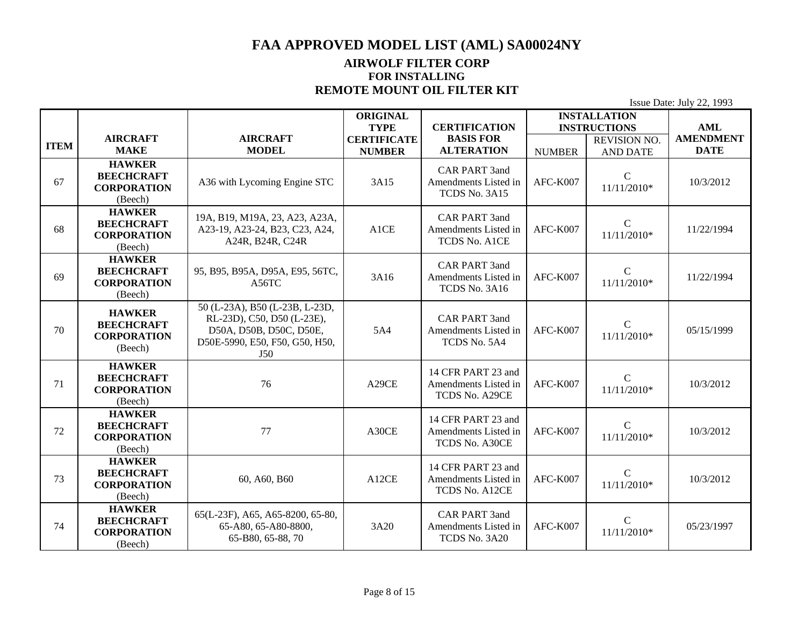### **AIRWOLF FILTER CORP FOR INSTALLING REMOTE MOUNT OIL FILTER KIT**

|             |                                                                     |                                                                                                                                         | <b>ORIGINAL</b><br><b>TYPE</b>      | <b>CERTIFICATION</b>                                          |               | <b>INSTALLATION</b><br><b>INSTRUCTIONS</b> | AML                             |
|-------------|---------------------------------------------------------------------|-----------------------------------------------------------------------------------------------------------------------------------------|-------------------------------------|---------------------------------------------------------------|---------------|--------------------------------------------|---------------------------------|
| <b>ITEM</b> | <b>AIRCRAFT</b><br><b>MAKE</b>                                      | <b>AIRCRAFT</b><br><b>MODEL</b>                                                                                                         | <b>CERTIFICATE</b><br><b>NUMBER</b> | <b>BASIS FOR</b><br><b>ALTERATION</b>                         | <b>NUMBER</b> | <b>REVISION NO.</b><br><b>AND DATE</b>     | <b>AMENDMENT</b><br><b>DATE</b> |
| 67          | <b>HAWKER</b><br><b>BEECHCRAFT</b><br><b>CORPORATION</b><br>(Beech) | A36 with Lycoming Engine STC                                                                                                            | 3A15                                | <b>CAR PART 3and</b><br>Amendments Listed in<br>TCDS No. 3A15 | AFC-K007      | $\mathsf{C}$<br>11/11/2010*                | 10/3/2012                       |
| 68          | <b>HAWKER</b><br><b>BEECHCRAFT</b><br><b>CORPORATION</b><br>(Beech) | 19A, B19, M19A, 23, A23, A23A,<br>A23-19, A23-24, B23, C23, A24,<br>A24R, B24R, C24R                                                    | A1CE                                | <b>CAR PART 3and</b><br>Amendments Listed in<br>TCDS No. A1CE | AFC-K007      | $\mathcal{C}$<br>$11/11/2010*$             | 11/22/1994                      |
| 69          | <b>HAWKER</b><br><b>BEECHCRAFT</b><br><b>CORPORATION</b><br>(Beech) | 95, B95, B95A, D95A, E95, 56TC,<br>A56TC                                                                                                | 3A16                                | <b>CAR PART 3and</b><br>Amendments Listed in<br>TCDS No. 3A16 | AFC-K007      | $\mathsf{C}$<br>$11/11/2010*$              | 11/22/1994                      |
| 70          | <b>HAWKER</b><br><b>BEECHCRAFT</b><br><b>CORPORATION</b><br>(Beech) | 50 (L-23A), B50 (L-23B, L-23D,<br>RL-23D), C50, D50 (L-23E),<br>D50A, D50B, D50C, D50E,<br>D50E-5990, E50, F50, G50, H50,<br><b>J50</b> | 5A4                                 | <b>CAR PART 3and</b><br>Amendments Listed in<br>TCDS No. 5A4  | AFC-K007      | $\mathsf{C}$<br>$11/11/2010*$              | 05/15/1999                      |
| 71          | <b>HAWKER</b><br><b>BEECHCRAFT</b><br><b>CORPORATION</b><br>(Beech) | 76                                                                                                                                      | A29CE                               | 14 CFR PART 23 and<br>Amendments Listed in<br>TCDS No. A29CE  | AFC-K007      | $\mathcal{C}$<br>$11/11/2010*$             | 10/3/2012                       |
| 72          | <b>HAWKER</b><br><b>BEECHCRAFT</b><br><b>CORPORATION</b><br>(Beech) | 77                                                                                                                                      | A30CE                               | 14 CFR PART 23 and<br>Amendments Listed in<br>TCDS No. A30CE  | AFC-K007      | $\mathcal{C}$<br>$11/11/2010*$             | 10/3/2012                       |
| 73          | <b>HAWKER</b><br><b>BEECHCRAFT</b><br><b>CORPORATION</b><br>(Beech) | 60, A60, B60                                                                                                                            | A12CE                               | 14 CFR PART 23 and<br>Amendments Listed in<br>TCDS No. A12CE  | AFC-K007      | $\mathcal{C}$<br>$11/11/2010*$             | 10/3/2012                       |
| 74          | <b>HAWKER</b><br><b>BEECHCRAFT</b><br><b>CORPORATION</b><br>(Beech) | 65(L-23F), A65, A65-8200, 65-80,<br>65-A80, 65-A80-8800,<br>65-B80, 65-88, 70                                                           | 3A20                                | <b>CAR PART 3and</b><br>Amendments Listed in<br>TCDS No. 3A20 | AFC-K007      | $\mathsf{C}$<br>$11/11/2010*$              | 05/23/1997                      |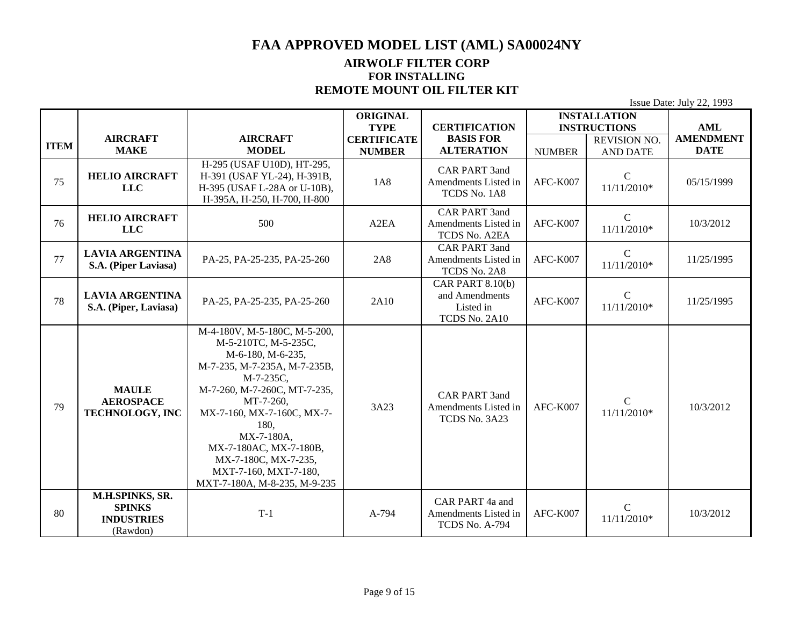#### **AIRWOLF FILTER CORP FOR INSTALLING REMOTE MOUNT OIL FILTER KIT**

|             |                                                                   |                                                                                                                                                                                                                                                                                                                                       | <b>ORIGINAL</b><br><b>TYPE</b>      | <b>CERTIFICATION</b>                                               |               | <b>INSTALLATION</b><br><b>INSTRUCTIONS</b> | <b>AML</b>                      |
|-------------|-------------------------------------------------------------------|---------------------------------------------------------------------------------------------------------------------------------------------------------------------------------------------------------------------------------------------------------------------------------------------------------------------------------------|-------------------------------------|--------------------------------------------------------------------|---------------|--------------------------------------------|---------------------------------|
| <b>ITEM</b> | <b>AIRCRAFT</b><br><b>MAKE</b>                                    | <b>AIRCRAFT</b><br><b>MODEL</b>                                                                                                                                                                                                                                                                                                       | <b>CERTIFICATE</b><br><b>NUMBER</b> | <b>BASIS FOR</b><br><b>ALTERATION</b>                              | <b>NUMBER</b> | REVISION NO.<br><b>AND DATE</b>            | <b>AMENDMENT</b><br><b>DATE</b> |
| 75          | <b>HELIO AIRCRAFT</b><br><b>LLC</b>                               | H-295 (USAF U10D), HT-295,<br>H-391 (USAF YL-24), H-391B,<br>H-395 (USAF L-28A or U-10B),<br>H-395A, H-250, H-700, H-800                                                                                                                                                                                                              | <b>1A8</b>                          | <b>CAR PART 3and</b><br>Amendments Listed in<br>TCDS No. 1A8       | AFC-K007      | $\mathsf{C}$<br>11/11/2010*                | 05/15/1999                      |
| 76          | <b>HELIO AIRCRAFT</b><br><b>LLC</b>                               | 500                                                                                                                                                                                                                                                                                                                                   | A <sub>2</sub> EA                   | <b>CAR PART 3and</b><br>Amendments Listed in<br>TCDS No. A2EA      | AFC-K007      | $\mathsf{C}$<br>11/11/2010*                | 10/3/2012                       |
| 77          | <b>LAVIA ARGENTINA</b><br>S.A. (Piper Laviasa)                    | PA-25, PA-25-235, PA-25-260                                                                                                                                                                                                                                                                                                           | 2A8                                 | <b>CAR PART 3and</b><br>Amendments Listed in<br>TCDS No. 2A8       | AFC-K007      | $\mathcal{C}$<br>11/11/2010*               | 11/25/1995                      |
| 78          | <b>LAVIA ARGENTINA</b><br>S.A. (Piper, Laviasa)                   | PA-25, PA-25-235, PA-25-260                                                                                                                                                                                                                                                                                                           | 2A10                                | CAR PART $8.10(b)$<br>and Amendments<br>Listed in<br>TCDS No. 2A10 | AFC-K007      | $\mathcal{C}$<br>11/11/2010*               | 11/25/1995                      |
| 79          | <b>MAULE</b><br><b>AEROSPACE</b><br>TECHNOLOGY, INC               | M-4-180V, M-5-180C, M-5-200,<br>M-5-210TC, M-5-235C,<br>M-6-180, M-6-235,<br>M-7-235, M-7-235A, M-7-235B,<br>M-7-235C,<br>M-7-260, M-7-260C, MT-7-235,<br>$MT-7-260$ ,<br>MX-7-160, MX-7-160C, MX-7-<br>180,<br>MX-7-180A,<br>MX-7-180AC, MX-7-180B,<br>MX-7-180C, MX-7-235,<br>MXT-7-160, MXT-7-180,<br>MXT-7-180A, M-8-235, M-9-235 | 3A23                                | <b>CAR PART 3and</b><br>Amendments Listed in<br>TCDS No. 3A23      | AFC-K007      | $\mathsf{C}$<br>11/11/2010*                | 10/3/2012                       |
| 80          | M.H.SPINKS, SR.<br><b>SPINKS</b><br><b>INDUSTRIES</b><br>(Rawdon) | $T-1$                                                                                                                                                                                                                                                                                                                                 | A-794                               | CAR PART 4a and<br>Amendments Listed in<br>TCDS No. A-794          | AFC-K007      | $\mathcal{C}$<br>11/11/2010*               | 10/3/2012                       |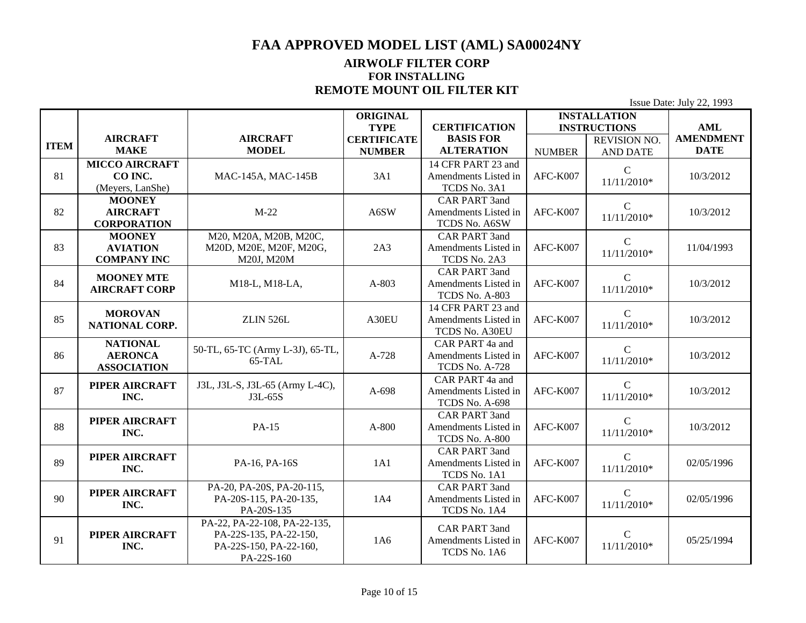#### **AIRWOLF FILTER CORP FOR INSTALLING REMOTE MOUNT OIL FILTER KIT**

|             |                                       |                                                  | <b>ORIGINAL</b><br><b>TYPE</b> | <b>CERTIFICATION</b>                   |               | <b>INSTALLATION</b><br><b>INSTRUCTIONS</b> | <b>AML</b>       |
|-------------|---------------------------------------|--------------------------------------------------|--------------------------------|----------------------------------------|---------------|--------------------------------------------|------------------|
|             | <b>AIRCRAFT</b>                       | <b>AIRCRAFT</b>                                  | <b>CERTIFICATE</b>             | <b>BASIS FOR</b>                       |               | <b>REVISION NO.</b>                        | <b>AMENDMENT</b> |
| <b>ITEM</b> | <b>MAKE</b>                           | <b>MODEL</b>                                     | <b>NUMBER</b>                  | <b>ALTERATION</b>                      | <b>NUMBER</b> | <b>AND DATE</b>                            | <b>DATE</b>      |
|             | <b>MICCO AIRCRAFT</b>                 |                                                  |                                | 14 CFR PART 23 and                     |               | $\mathsf{C}$                               |                  |
| 81          | CO INC.                               | MAC-145A, MAC-145B                               | 3A1                            | Amendments Listed in                   | AFC-K007      | 11/11/2010*                                | 10/3/2012        |
|             | (Meyers, LanShe)                      |                                                  |                                | TCDS No. 3A1                           |               |                                            |                  |
|             | <b>MOONEY</b>                         |                                                  |                                | CAR PART 3and                          |               | $\mathcal{C}$                              |                  |
| 82          | <b>AIRCRAFT</b><br><b>CORPORATION</b> | $M-22$                                           | A6SW                           | Amendments Listed in<br>TCDS No. A6SW  | AFC-K007      | 11/11/2010*                                | 10/3/2012        |
|             | <b>MOONEY</b>                         | M20, M20A, M20B, M20C,                           |                                | CAR PART 3and                          |               |                                            |                  |
| 83          | <b>AVIATION</b>                       | M20D, M20E, M20F, M20G,                          | 2A3                            | Amendments Listed in                   | AFC-K007      | $\mathcal{C}$                              | 11/04/1993       |
|             | <b>COMPANY INC</b>                    | M20J, M20M                                       |                                | TCDS No. 2A3                           |               | 11/11/2010*                                |                  |
|             | <b>MOONEY MTE</b>                     |                                                  |                                | <b>CAR PART 3and</b>                   |               | $\mathcal{C}$                              |                  |
| 84          | <b>AIRCRAFT CORP</b>                  | M18-L, M18-LA,                                   | A-803                          | Amendments Listed in                   | AFC-K007      | 11/11/2010*                                | 10/3/2012        |
|             |                                       |                                                  |                                | TCDS No. A-803                         |               |                                            |                  |
|             | <b>MOROVAN</b>                        |                                                  |                                | 14 CFR PART 23 and                     |               | $\mathcal{C}$                              |                  |
| 85          | NATIONAL CORP.                        | <b>ZLIN 526L</b>                                 | A30EU                          | Amendments Listed in<br>TCDS No. A30EU | AFC-K007      | $11/11/2010*$                              | 10/3/2012        |
|             | <b>NATIONAL</b>                       |                                                  |                                | CAR PART 4a and                        |               |                                            |                  |
| 86          | <b>AERONCA</b>                        | 50-TL, 65-TC (Army L-3J), 65-TL,                 | A-728                          | Amendments Listed in                   | AFC-K007      | $\mathsf{C}$                               | 10/3/2012        |
|             | <b>ASSOCIATION</b>                    | 65-TAL                                           |                                | TCDS No. A-728                         |               | $11/11/2010*$                              |                  |
|             | PIPER AIRCRAFT                        | J3L, J3L-S, J3L-65 (Army L-4C),                  |                                | CAR PART 4a and                        |               | $\mathcal{C}$                              |                  |
| 87          | INC.                                  | J3L-65S                                          | A-698                          | Amendments Listed in                   | AFC-K007      | $11/11/2010*$                              | 10/3/2012        |
|             |                                       |                                                  |                                | TCDS No. A-698                         |               |                                            |                  |
|             | PIPER AIRCRAFT                        |                                                  |                                | CAR PART 3and                          |               | $\mathcal{C}$                              |                  |
| 88          | INC.                                  | PA-15                                            | $A-800$                        | Amendments Listed in<br>TCDS No. A-800 | AFC-K007      | $11/11/2010*$                              | 10/3/2012        |
|             |                                       |                                                  |                                | CAR PART 3and                          |               |                                            |                  |
| 89          | PIPER AIRCRAFT                        | PA-16, PA-16S                                    | 1A1                            | Amendments Listed in                   | AFC-K007      | $\mathsf{C}$                               | 02/05/1996       |
|             | INC.                                  |                                                  |                                | TCDS No. 1A1                           |               | $11/11/2010*$                              |                  |
|             | PIPER AIRCRAFT                        | PA-20, PA-20S, PA-20-115,                        |                                | CAR PART 3and                          |               | $\mathcal{C}$                              |                  |
| 90          | INC.                                  | PA-20S-115, PA-20-135,                           | 1A4                            | Amendments Listed in                   | AFC-K007      | $11/11/2010*$                              | 02/05/1996       |
|             |                                       | PA-20S-135                                       |                                | TCDS No. 1A4                           |               |                                            |                  |
|             |                                       | PA-22, PA-22-108, PA-22-135,                     |                                | CAR PART 3and                          |               |                                            |                  |
| 91          | PIPER AIRCRAFT                        | PA-22S-135, PA-22-150,<br>PA-22S-150, PA-22-160, | 1A6                            | Amendments Listed in                   | AFC-K007      | $\mathsf{C}$<br>$11/11/2010*$              | 05/25/1994       |
|             | INC.                                  | PA-22S-160                                       |                                | TCDS No. 1A6                           |               |                                            |                  |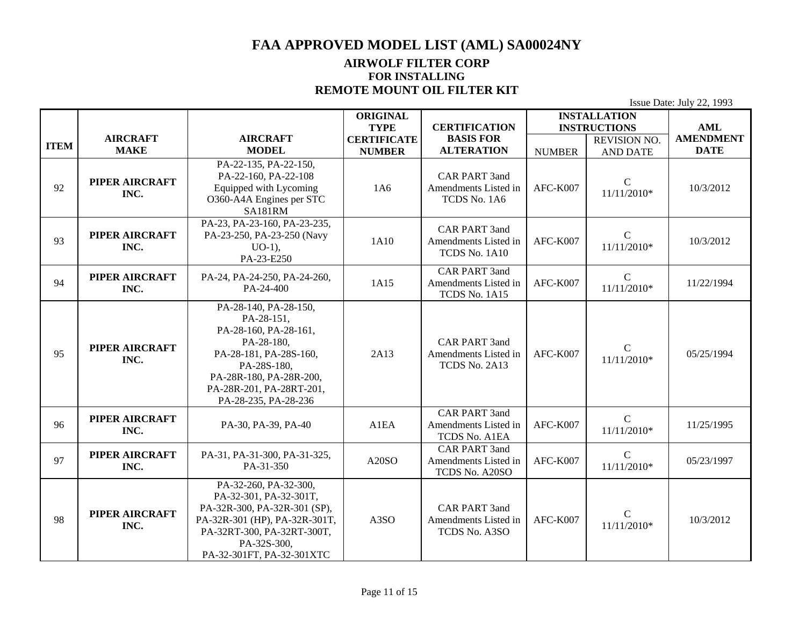### **AIRWOLF FILTER CORP FOR INSTALLING REMOTE MOUNT OIL FILTER KIT**

|             |                        |                                                                                                                                                                                                    | <b>ORIGINAL</b><br><b>TYPE</b> | <b>CERTIFICATION</b>                                           |               | <b>INSTALLATION</b><br><b>INSTRUCTIONS</b> | <b>AML</b>       |
|-------------|------------------------|----------------------------------------------------------------------------------------------------------------------------------------------------------------------------------------------------|--------------------------------|----------------------------------------------------------------|---------------|--------------------------------------------|------------------|
|             | <b>AIRCRAFT</b>        | <b>AIRCRAFT</b>                                                                                                                                                                                    | <b>CERTIFICATE</b>             | <b>BASIS FOR</b>                                               |               | <b>REVISION NO.</b>                        | <b>AMENDMENT</b> |
| <b>ITEM</b> | <b>MAKE</b>            | <b>MODEL</b>                                                                                                                                                                                       | <b>NUMBER</b>                  | <b>ALTERATION</b>                                              | <b>NUMBER</b> | <b>AND DATE</b>                            | <b>DATE</b>      |
| 92          | PIPER AIRCRAFT<br>INC. | PA-22-135, PA-22-150,<br>PA-22-160, PA-22-108<br>Equipped with Lycoming<br>O360-A4A Engines per STC<br>SA181RM                                                                                     | 1A6                            | <b>CAR PART 3and</b><br>Amendments Listed in<br>TCDS No. 1A6   | AFC-K007      | $\mathcal{C}$<br>$11/11/2010*$             | 10/3/2012        |
| 93          | PIPER AIRCRAFT<br>INC. | PA-23, PA-23-160, PA-23-235,<br>PA-23-250, PA-23-250 (Navy<br>$UO-1$ ),<br>PA-23-E250                                                                                                              | 1A10                           | <b>CAR PART 3and</b><br>Amendments Listed in<br>TCDS No. 1A10  | AFC-K007      | $\mathbf C$<br>11/11/2010*                 | 10/3/2012        |
| 94          | PIPER AIRCRAFT<br>INC. | PA-24, PA-24-250, PA-24-260,<br>PA-24-400                                                                                                                                                          | 1A15                           | <b>CAR PART 3and</b><br>Amendments Listed in<br>TCDS No. 1A15  | AFC-K007      | $\mathsf{C}$<br>11/11/2010*                | 11/22/1994       |
| 95          | PIPER AIRCRAFT<br>INC. | PA-28-140, PA-28-150,<br>PA-28-151,<br>PA-28-160, PA-28-161,<br>PA-28-180,<br>PA-28-181, PA-28S-160,<br>PA-28S-180,<br>PA-28R-180, PA-28R-200,<br>PA-28R-201, PA-28RT-201,<br>PA-28-235, PA-28-236 | 2A13                           | <b>CAR PART 3and</b><br>Amendments Listed in<br>TCDS No. 2A13  | AFC-K007      | $\mathcal{C}$<br>$11/11/2010*$             | 05/25/1994       |
| 96          | PIPER AIRCRAFT<br>INC. | PA-30, PA-39, PA-40                                                                                                                                                                                | A1EA                           | <b>CAR PART 3and</b><br>Amendments Listed in<br>TCDS No. A1EA  | AFC-K007      | $\mathsf{C}$<br>11/11/2010*                | 11/25/1995       |
| 97          | PIPER AIRCRAFT<br>INC. | PA-31, PA-31-300, PA-31-325,<br>PA-31-350                                                                                                                                                          | A20SO                          | <b>CAR PART 3and</b><br>Amendments Listed in<br>TCDS No. A20SO | AFC-K007      | $\mathsf{C}$<br>11/11/2010*                | 05/23/1997       |
| 98          | PIPER AIRCRAFT<br>INC. | PA-32-260, PA-32-300,<br>PA-32-301, PA-32-301T,<br>PA-32R-300, PA-32R-301 (SP),<br>PA-32R-301 (HP), PA-32R-301T,<br>PA-32RT-300, PA-32RT-300T,<br>PA-32S-300,<br>PA-32-301FT, PA-32-301XTC         | A3SO                           | <b>CAR PART 3and</b><br>Amendments Listed in<br>TCDS No. A3SO  | AFC-K007      | $\mathcal{C}$<br>$11/11/2010*$             | 10/3/2012        |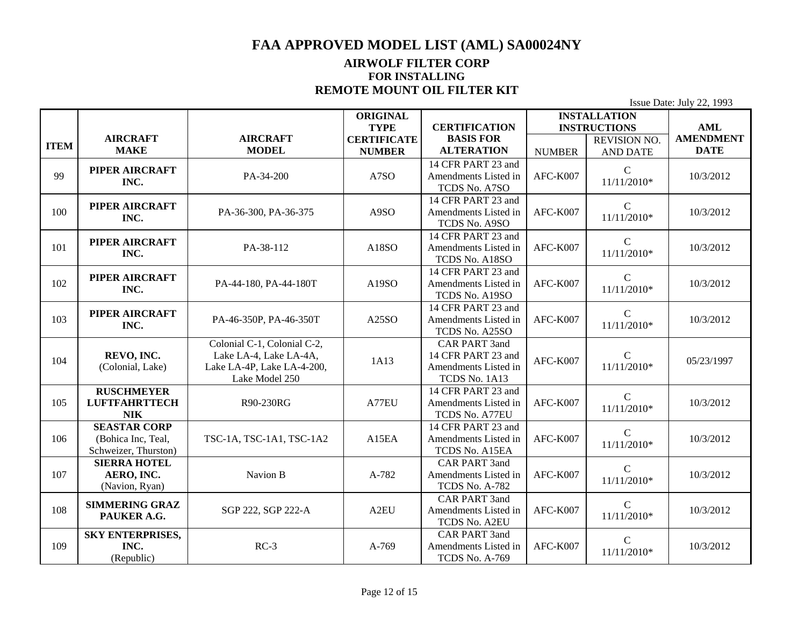#### **AIRWOLF FILTER CORP FOR INSTALLING REMOTE MOUNT OIL FILTER KIT**

|             |                                |                                                      | <b>ORIGINAL</b><br><b>TYPE</b> | <b>CERTIFICATION</b>                |               | <b>INSTALLATION</b><br><b>INSTRUCTIONS</b> | <b>AML</b>       |
|-------------|--------------------------------|------------------------------------------------------|--------------------------------|-------------------------------------|---------------|--------------------------------------------|------------------|
|             | <b>AIRCRAFT</b>                | <b>AIRCRAFT</b>                                      | <b>CERTIFICATE</b>             | <b>BASIS FOR</b>                    |               | <b>REVISION NO.</b>                        | <b>AMENDMENT</b> |
| <b>ITEM</b> | <b>MAKE</b>                    | <b>MODEL</b>                                         | <b>NUMBER</b>                  | <b>ALTERATION</b>                   | <b>NUMBER</b> | <b>AND DATE</b>                            | <b>DATE</b>      |
|             |                                |                                                      |                                | 14 CFR PART 23 and                  |               |                                            |                  |
| 99          | PIPER AIRCRAFT                 | PA-34-200                                            | A7SO                           | Amendments Listed in                | AFC-K007      | $\mathsf C$                                | 10/3/2012        |
|             | INC.                           |                                                      |                                | TCDS No. A7SO                       |               | 11/11/2010*                                |                  |
|             |                                |                                                      |                                | 14 CFR PART 23 and                  |               |                                            |                  |
| 100         | PIPER AIRCRAFT<br>INC.         | PA-36-300, PA-36-375                                 | A9SO                           | Amendments Listed in                | AFC-K007      | $\mathcal{C}$<br>$11/11/2010*$             | 10/3/2012        |
|             |                                |                                                      |                                | TCDS No. A9SO                       |               |                                            |                  |
|             | PIPER AIRCRAFT                 |                                                      |                                | 14 CFR PART 23 and                  |               | $\mathcal{C}$                              |                  |
| 101         | INC.                           | PA-38-112                                            | A18SO                          | Amendments Listed in                | AFC-K007      | $11/11/2010*$                              | 10/3/2012        |
|             |                                |                                                      |                                | TCDS No. A18SO                      |               |                                            |                  |
|             | PIPER AIRCRAFT                 |                                                      |                                | 14 CFR PART 23 and                  |               | $\mathcal{C}$                              |                  |
| 102         | INC.                           | PA-44-180, PA-44-180T                                | A19SO                          | Amendments Listed in                | AFC-K007      | $11/11/2010*$                              | 10/3/2012        |
|             |                                |                                                      |                                | TCDS No. A19SO                      |               |                                            |                  |
|             | PIPER AIRCRAFT                 |                                                      |                                | 14 CFR PART 23 and                  |               | $\mathcal{C}$                              |                  |
| 103         | INC.                           | PA-46-350P, PA-46-350T                               | A25SO                          | Amendments Listed in                | AFC-K007      | $11/11/2010*$                              | 10/3/2012        |
|             |                                |                                                      |                                | TCDS No. A25SO                      |               |                                            |                  |
|             |                                | Colonial C-1, Colonial C-2,                          |                                | CAR PART 3and<br>14 CFR PART 23 and |               |                                            |                  |
| 104         | REVO, INC.<br>(Colonial, Lake) | Lake LA-4, Lake LA-4A,<br>Lake LA-4P, Lake LA-4-200, | 1A13                           | Amendments Listed in                | AFC-K007      | $\mathcal{C}$<br>$11/11/2010*$             | 05/23/1997       |
|             |                                | Lake Model 250                                       |                                | TCDS No. 1A13                       |               |                                            |                  |
|             | <b>RUSCHMEYER</b>              |                                                      |                                | 14 CFR PART 23 and                  |               |                                            |                  |
| 105         | <b>LUFTFAHRTTECH</b>           | R90-230RG                                            | A77EU                          | Amendments Listed in                | AFC-K007      | $\mathcal{C}$                              | 10/3/2012        |
|             | <b>NIK</b>                     |                                                      |                                | TCDS No. A77EU                      |               | $11/11/2010*$                              |                  |
|             | <b>SEASTAR CORP</b>            |                                                      |                                | 14 CFR PART 23 and                  |               |                                            |                  |
| 106         | (Bohica Inc, Teal,             | TSC-1A, TSC-1A1, TSC-1A2                             | A15EA                          | Amendments Listed in                | AFC-K007      | $\mathcal{C}$                              | 10/3/2012        |
|             | Schweizer, Thurston)           |                                                      |                                | TCDS No. A15EA                      |               | $11/11/2010*$                              |                  |
|             | <b>SIERRA HOTEL</b>            |                                                      |                                | CAR PART 3and                       |               | $\mathcal{C}$                              |                  |
| 107         | AERO, INC.                     | Navion B                                             | A-782                          | Amendments Listed in                | AFC-K007      | $11/11/2010*$                              | 10/3/2012        |
|             | (Navion, Ryan)                 |                                                      |                                | TCDS No. A-782                      |               |                                            |                  |
|             | <b>SIMMERING GRAZ</b>          |                                                      |                                | CAR PART 3and                       |               | $\mathbf C$                                |                  |
| 108         | PAUKER A.G.                    | SGP 222, SGP 222-A                                   | A2EU                           | Amendments Listed in                | AFC-K007      | 11/11/2010*                                | 10/3/2012        |
|             |                                |                                                      |                                | TCDS No. A2EU                       |               |                                            |                  |
|             | <b>SKY ENTERPRISES,</b>        |                                                      |                                | CAR PART 3and                       |               | $\mathbf C$                                |                  |
| 109         | INC.                           | $RC-3$                                               | A-769                          | Amendments Listed in                | AFC-K007      | 11/11/2010*                                | 10/3/2012        |
|             | (Republic)                     |                                                      |                                | TCDS No. A-769                      |               |                                            |                  |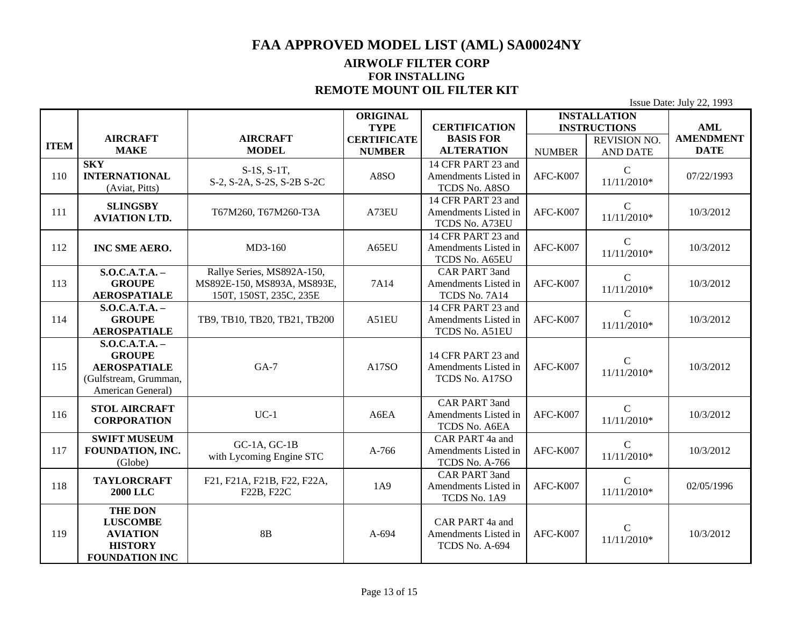#### **AIRWOLF FILTER CORP FOR INSTALLING REMOTE MOUNT OIL FILTER KIT**

|             |                                        |                                                        | <b>ORIGINAL</b><br><b>TYPE</b> | <b>CERTIFICATION</b>                         | <b>INSTALLATION</b><br><b>INSTRUCTIONS</b> |                               | <b>AML</b>       |
|-------------|----------------------------------------|--------------------------------------------------------|--------------------------------|----------------------------------------------|--------------------------------------------|-------------------------------|------------------|
|             | <b>AIRCRAFT</b>                        | <b>AIRCRAFT</b>                                        | <b>CERTIFICATE</b>             | <b>BASIS FOR</b>                             |                                            | <b>REVISION NO.</b>           | <b>AMENDMENT</b> |
| <b>ITEM</b> | <b>MAKE</b>                            | <b>MODEL</b>                                           | <b>NUMBER</b>                  | <b>ALTERATION</b>                            | <b>NUMBER</b>                              | <b>AND DATE</b>               | <b>DATE</b>      |
|             | <b>SKY</b>                             | $S-1S, S-1T,$                                          |                                | 14 CFR PART 23 and                           |                                            | $\mathbf C$                   |                  |
| 110         | <b>INTERNATIONAL</b><br>(Aviat, Pitts) | S-2, S-2A, S-2S, S-2B S-2C                             | A8SO                           | Amendments Listed in<br>TCDS No. A8SO        | AFC-K007                                   | $11/11/2010*$                 | 07/22/1993       |
|             | <b>SLINGSBY</b>                        |                                                        |                                | 14 CFR PART 23 and                           |                                            | $\mathcal{C}$                 |                  |
| 111         | <b>AVIATION LTD.</b>                   | T67M260, T67M260-T3A                                   | A73EU                          | Amendments Listed in<br>TCDS No. A73EU       | AFC-K007                                   | 11/11/2010*                   | 10/3/2012        |
|             |                                        |                                                        |                                | 14 CFR PART 23 and                           |                                            | $\mathsf{C}$                  |                  |
| 112         | INC SME AERO.                          | MD3-160                                                | A65EU                          | Amendments Listed in<br>TCDS No. A65EU       | AFC-K007                                   | $11/11/2010*$                 | 10/3/2012        |
|             | S.O.C.A.T.A. –                         | Rallye Series, MS892A-150,                             |                                | CAR PART 3and                                |                                            | $\mathsf{C}$                  |                  |
| 113         | <b>GROUPE</b><br><b>AEROSPATIALE</b>   | MS892E-150, MS893A, MS893E,<br>150T, 150ST, 235C, 235E | 7A14                           | Amendments Listed in<br>TCDS No. 7A14        | AFC-K007                                   | $11/11/2010*$                 | 10/3/2012        |
|             | S.O.C.A.T.A. –                         |                                                        |                                | 14 CFR PART 23 and                           |                                            |                               |                  |
| 114         | <b>GROUPE</b>                          | TB9, TB10, TB20, TB21, TB200                           | A51EU                          | Amendments Listed in                         | AFC-K007                                   | $\mathsf{C}$<br>$11/11/2010*$ | 10/3/2012        |
|             | <b>AEROSPATIALE</b>                    |                                                        |                                | TCDS No. A51EU                               |                                            |                               |                  |
|             | S.O.C.A.T.A. -<br><b>GROUPE</b>        |                                                        |                                | 14 CFR PART 23 and                           |                                            |                               |                  |
| 115         | <b>AEROSPATIALE</b>                    | $GA-7$                                                 | A17SO                          | Amendments Listed in                         | AFC-K007                                   | $\mathcal{C}$                 | 10/3/2012        |
|             | (Gulfstream, Grumman,                  |                                                        |                                | TCDS No. A17SO                               |                                            | 11/11/2010*                   |                  |
|             | American General)                      |                                                        |                                |                                              |                                            |                               |                  |
| 116         | <b>STOL AIRCRAFT</b>                   | $UC-1$                                                 | A6EA                           | <b>CAR PART 3and</b><br>Amendments Listed in | AFC-K007                                   | $\mathsf{C}$                  | 10/3/2012        |
|             | <b>CORPORATION</b>                     |                                                        |                                | TCDS No. A6EA                                |                                            | 11/11/2010*                   |                  |
|             | <b>SWIFT MUSEUM</b>                    | $GC-1A$ , $GC-1B$                                      |                                | CAR PART 4a and                              |                                            | $\mathcal{C}$                 |                  |
| 117         | FOUNDATION, INC.<br>(Globe)            | with Lycoming Engine STC                               | A-766                          | Amendments Listed in<br>TCDS No. A-766       | AFC-K007                                   | $11/11/2010*$                 | 10/3/2012        |
|             |                                        |                                                        |                                | CAR PART 3and                                |                                            |                               |                  |
| 118         | <b>TAYLORCRAFT</b><br><b>2000 LLC</b>  | F21, F21A, F21B, F22, F22A,<br>F22B, F22C              | 1A9                            | Amendments Listed in                         | AFC-K007                                   | $\mathbf C$<br>11/11/2010*    | 02/05/1996       |
|             |                                        |                                                        |                                | TCDS No. 1A9                                 |                                            |                               |                  |
|             | <b>THE DON</b><br><b>LUSCOMBE</b>      |                                                        |                                | CAR PART 4a and                              |                                            |                               |                  |
| 119         | <b>AVIATION</b>                        | <b>8B</b>                                              | A-694                          | Amendments Listed in                         | AFC-K007                                   | $\mathsf{C}$<br>$11/11/2010*$ | 10/3/2012        |
|             | <b>HISTORY</b>                         |                                                        |                                | TCDS No. A-694                               |                                            |                               |                  |
|             | <b>FOUNDATION INC</b>                  |                                                        |                                |                                              |                                            |                               |                  |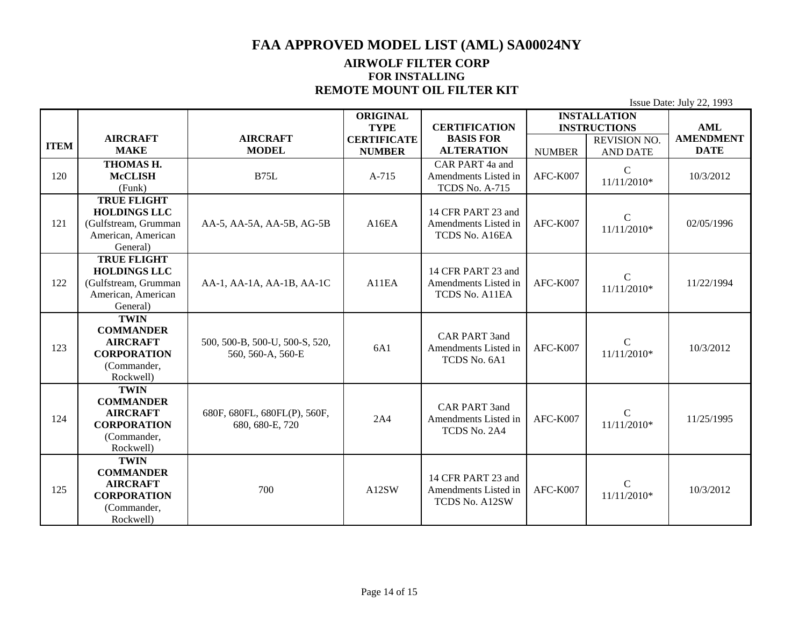#### **AIRWOLF FILTER CORP FOR INSTALLING REMOTE MOUNT OIL FILTER KIT**

|             |                                                                                                      |                                                     | <b>ORIGINAL</b><br><b>TYPE</b>      | <b>CERTIFICATION</b>                                             | <b>INSTALLATION</b><br><b>INSTRUCTIONS</b> |                                        | <b>AML</b>                      |
|-------------|------------------------------------------------------------------------------------------------------|-----------------------------------------------------|-------------------------------------|------------------------------------------------------------------|--------------------------------------------|----------------------------------------|---------------------------------|
| <b>ITEM</b> | <b>AIRCRAFT</b><br><b>MAKE</b>                                                                       | <b>AIRCRAFT</b><br><b>MODEL</b>                     | <b>CERTIFICATE</b><br><b>NUMBER</b> | <b>BASIS FOR</b><br><b>ALTERATION</b>                            | <b>NUMBER</b>                              | <b>REVISION NO.</b><br><b>AND DATE</b> | <b>AMENDMENT</b><br><b>DATE</b> |
| 120         | THOMAS H.<br><b>McCLISH</b><br>(Funk)                                                                | <b>B75L</b>                                         | A-715                               | CAR PART 4a and<br>Amendments Listed in<br><b>TCDS No. A-715</b> | AFC-K007                                   | $\mathcal{C}$<br>11/11/2010*           | 10/3/2012                       |
| 121         | <b>TRUE FLIGHT</b><br><b>HOLDINGS LLC</b><br>(Gulfstream, Grumman<br>American, American<br>General)  | AA-5, AA-5A, AA-5B, AG-5B                           | A16EA                               | 14 CFR PART 23 and<br>Amendments Listed in<br>TCDS No. A16EA     | AFC-K007                                   | $\mathcal{C}$<br>11/11/2010*           | 02/05/1996                      |
| 122         | <b>TRUE FLIGHT</b><br><b>HOLDINGS LLC</b><br>(Gulfstream, Grumman<br>American, American<br>General)  | AA-1, AA-1A, AA-1B, AA-1C                           | A11EA                               | 14 CFR PART 23 and<br>Amendments Listed in<br>TCDS No. A11EA     | AFC-K007                                   | $\mathcal{C}$<br>$11/11/2010*$         | 11/22/1994                      |
| 123         | <b>TWIN</b><br><b>COMMANDER</b><br><b>AIRCRAFT</b><br><b>CORPORATION</b><br>(Commander,<br>Rockwell) | 500, 500-B, 500-U, 500-S, 520,<br>560, 560-A, 560-E | 6A1                                 | <b>CAR PART 3and</b><br>Amendments Listed in<br>TCDS No. 6A1     | AFC-K007                                   | $\mathcal{C}$<br>11/11/2010*           | 10/3/2012                       |
| 124         | <b>TWIN</b><br><b>COMMANDER</b><br><b>AIRCRAFT</b><br><b>CORPORATION</b><br>(Commander,<br>Rockwell) | 680F, 680FL, 680FL(P), 560F,<br>680, 680-E, 720     | 2A4                                 | <b>CAR PART 3and</b><br>Amendments Listed in<br>TCDS No. 2A4     | AFC-K007                                   | $\mathcal{C}$<br>$11/11/2010*$         | 11/25/1995                      |
| 125         | <b>TWIN</b><br><b>COMMANDER</b><br><b>AIRCRAFT</b><br><b>CORPORATION</b><br>(Commander,<br>Rockwell) | 700                                                 | A12SW                               | 14 CFR PART 23 and<br>Amendments Listed in<br>TCDS No. A12SW     | AFC-K007                                   | $\mathcal{C}$<br>11/11/2010*           | 10/3/2012                       |